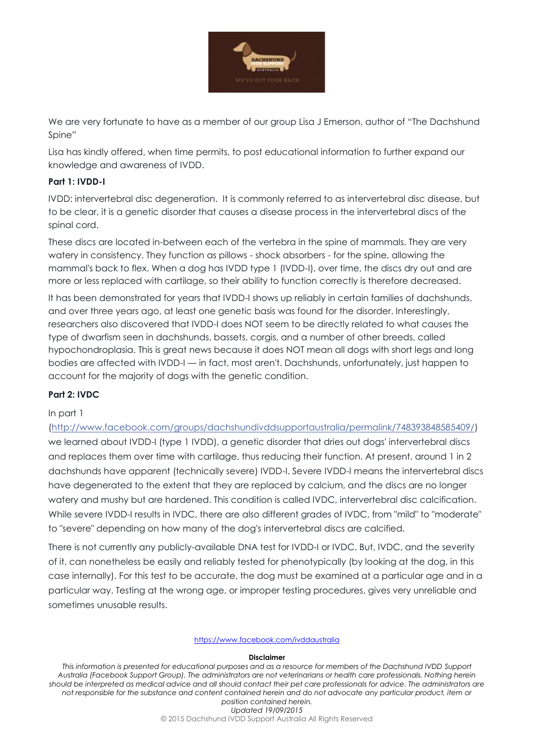

We are very fortunate to have as a member of our group Lisa J Emerson, author of "The Dachshund Spine"

Lisa has kindly offered, when time permits, to post educational information to further expand our knowledge and awareness of IVDD.

# **Part 1: IVDD-I**

IVDD: intervertebral disc degeneration. It is commonly referred to as intervertebral disc disease, but to be clear, it is a genetic disorder that causes a disease process in the intervertebral discs of the spinal cord.

These discs are located in-between each of the vertebra in the spine of mammals. They are very watery in consistency. They function as pillows - shock absorbers - for the spine, allowing the mammal's back to flex. When a dog has IVDD type 1 (IVDD-I), over time, the discs dry out and are more or less replaced with cartilage, so their ability to function correctly is therefore decreased.

It has been demonstrated for years that IVDD-I shows up reliably in certain families of dachshunds, and over three years ago, at least one genetic basis was found for the disorder. Interestingly, researchers also discovered that IVDD-I does NOT seem to be directly related to what causes the type of dwarfism seen in dachshunds, bassets, corgis, and a number of other breeds, called hypochondroplasia. This is great news because it does NOT mean all dogs with short legs and long bodies are affected with IVDD-I — in fact, most aren't. Dachshunds, unfortunately, just happen to account for the majority of dogs with the genetic condition.

# **Part 2: IVDC**

# In part 1

[\(http://www.facebook.com/groups/dachshundivddsupportaustralia/permalink/748393848585409/\)](https://www.facebook.com/groups/dachshundivddsupportaustralia/permalink/748393848585409/) we learned about IVDD-I (type 1 IVDD), a genetic disorder that dries out dogs' intervertebral discs and replaces them over time with cartilage, thus reducing their function. At present, around 1 in 2 dachshunds have apparent (technically severe) IVDD-I. Severe IVDD-I means the intervertebral discs have degenerated to the extent that they are replaced by calcium, and the discs are no longer watery and mushy but are hardened. This condition is called IVDC, intervertebral disc calcification. While severe IVDD-I results in IVDC, there are also different grades of IVDC, from "mild" to "moderate" to "severe" depending on how many of the dog's intervertebral discs are calcified.

There is not currently any publicly-available DNA test for IVDD-I or IVDC. But, IVDC, and the severity of it, can nonetheless be easily and reliably tested for phenotypically (by looking at the dog, in this case internally). For this test to be accurate, the dog must be examined at a particular age and in a particular way. Testing at the wrong age, or improper testing procedures, gives very unreliable and sometimes unusable results.

## <https://www.facebook.com/ivddaustralia>

## **Disclaimer**

*This information is presented for educational purposes and as a resource for members of the Dachshund IVDD Support Australia (Facebook Support Group). The administrators are not veterinarians or health care professionals. Nothing herein should be interpreted as medical advice and all should contact their pet care professionals for advice. The administrators are not responsible for the substance and content contained herein and do not advocate any particular product, item or position contained herein. Updated 19/09/2015* © 2015 Dachshund IVDD Support Australia All Rights Reserved